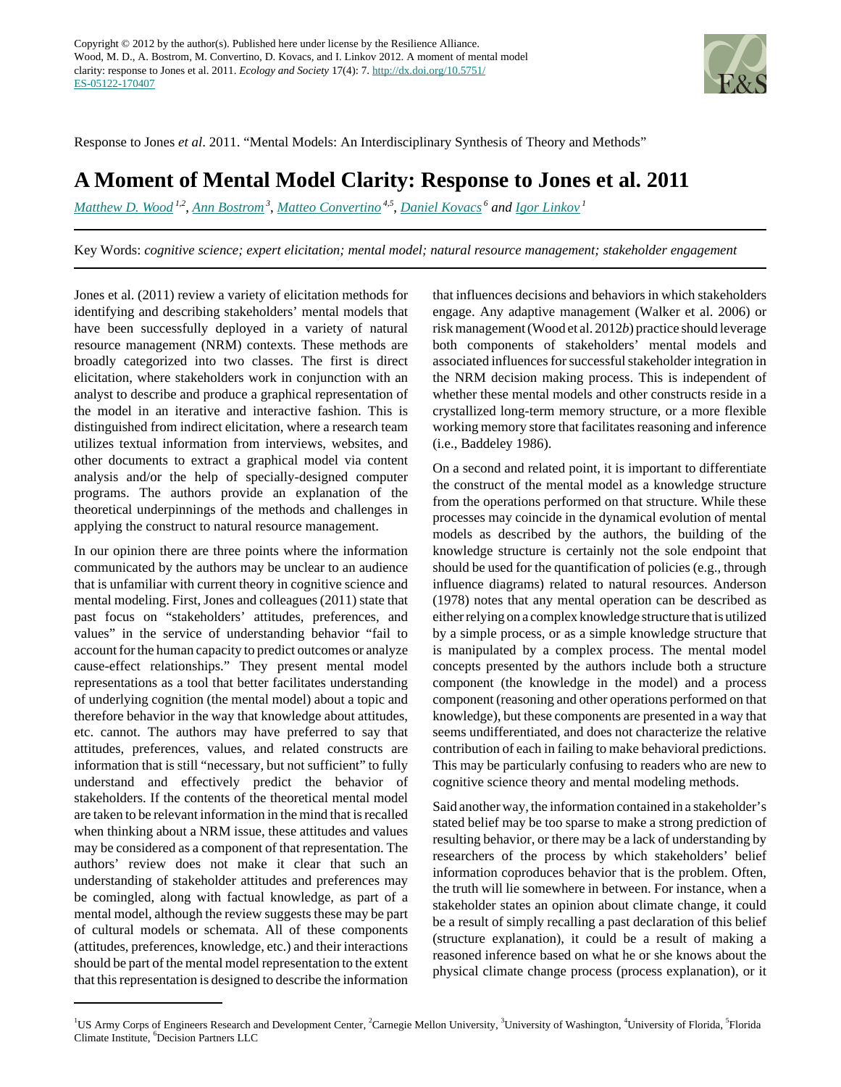

Response to Jones *et al*. 2011. "Mental Models: An Interdisciplinary Synthesis of Theory and Methods"

## **A Moment of Mental Model Clarity: Response to Jones et al. 2011**

*[Matthew D. Wood](mailto:mwood1@andrew.cmu.edu) 1,2* , *[Ann Bostrom](mailto:abostrom@uw.edu)<sup>3</sup>* , *[Matteo Convertino](mailto:mconvertino@ufl.edu) 4,5* , *[Daniel Kovacs](mailto:dkovacs@decisionpartners.com)<sup>6</sup> and [Igor Linkov](mailto:Igor.Linkov@usace.army.mil)<sup>1</sup>*

Key Words: *cognitive science; expert elicitation; mental model; natural resource management; stakeholder engagement*

Jones et al. (2011) review a variety of elicitation methods for identifying and describing stakeholders' mental models that have been successfully deployed in a variety of natural resource management (NRM) contexts. These methods are broadly categorized into two classes. The first is direct elicitation, where stakeholders work in conjunction with an analyst to describe and produce a graphical representation of the model in an iterative and interactive fashion. This is distinguished from indirect elicitation, where a research team utilizes textual information from interviews, websites, and other documents to extract a graphical model via content analysis and/or the help of specially-designed computer programs. The authors provide an explanation of the theoretical underpinnings of the methods and challenges in applying the construct to natural resource management.

In our opinion there are three points where the information communicated by the authors may be unclear to an audience that is unfamiliar with current theory in cognitive science and mental modeling. First, Jones and colleagues (2011) state that past focus on "stakeholders' attitudes, preferences, and values" in the service of understanding behavior "fail to account for the human capacity to predict outcomes or analyze cause-effect relationships." They present mental model representations as a tool that better facilitates understanding of underlying cognition (the mental model) about a topic and therefore behavior in the way that knowledge about attitudes, etc. cannot. The authors may have preferred to say that attitudes, preferences, values, and related constructs are information that is still "necessary, but not sufficient" to fully understand and effectively predict the behavior of stakeholders. If the contents of the theoretical mental model are taken to be relevant information in the mind that is recalled when thinking about a NRM issue, these attitudes and values may be considered as a component of that representation. The authors' review does not make it clear that such an understanding of stakeholder attitudes and preferences may be comingled, along with factual knowledge, as part of a mental model, although the review suggests these may be part of cultural models or schemata. All of these components (attitudes, preferences, knowledge, etc.) and their interactions should be part of the mental model representation to the extent that this representation is designed to describe the information

that influences decisions and behaviors in which stakeholders engage. Any adaptive management (Walker et al. 2006) or risk management (Wood et al. 2012*b*) practice should leverage both components of stakeholders' mental models and associated influences for successful stakeholder integration in the NRM decision making process. This is independent of whether these mental models and other constructs reside in a crystallized long-term memory structure, or a more flexible working memory store that facilitates reasoning and inference (i.e., Baddeley 1986).

On a second and related point, it is important to differentiate the construct of the mental model as a knowledge structure from the operations performed on that structure. While these processes may coincide in the dynamical evolution of mental models as described by the authors, the building of the knowledge structure is certainly not the sole endpoint that should be used for the quantification of policies (e.g., through influence diagrams) related to natural resources. Anderson (1978) notes that any mental operation can be described as either relying on a complex knowledge structure that is utilized by a simple process, or as a simple knowledge structure that is manipulated by a complex process. The mental model concepts presented by the authors include both a structure component (the knowledge in the model) and a process component (reasoning and other operations performed on that knowledge), but these components are presented in a way that seems undifferentiated, and does not characterize the relative contribution of each in failing to make behavioral predictions. This may be particularly confusing to readers who are new to cognitive science theory and mental modeling methods.

Said another way, the information contained in a stakeholder's stated belief may be too sparse to make a strong prediction of resulting behavior, or there may be a lack of understanding by researchers of the process by which stakeholders' belief information coproduces behavior that is the problem. Often, the truth will lie somewhere in between. For instance, when a stakeholder states an opinion about climate change, it could be a result of simply recalling a past declaration of this belief (structure explanation), it could be a result of making a reasoned inference based on what he or she knows about the physical climate change process (process explanation), or it

<sup>&</sup>lt;sup>1</sup>US Army Corps of Engineers Research and Development Center, <sup>2</sup>Carnegie Mellon University, <sup>3</sup>University of Washington, <sup>4</sup>University of Florida, <sup>5</sup>Florida Climate Institute, <sup>6</sup>Decision Partners LLC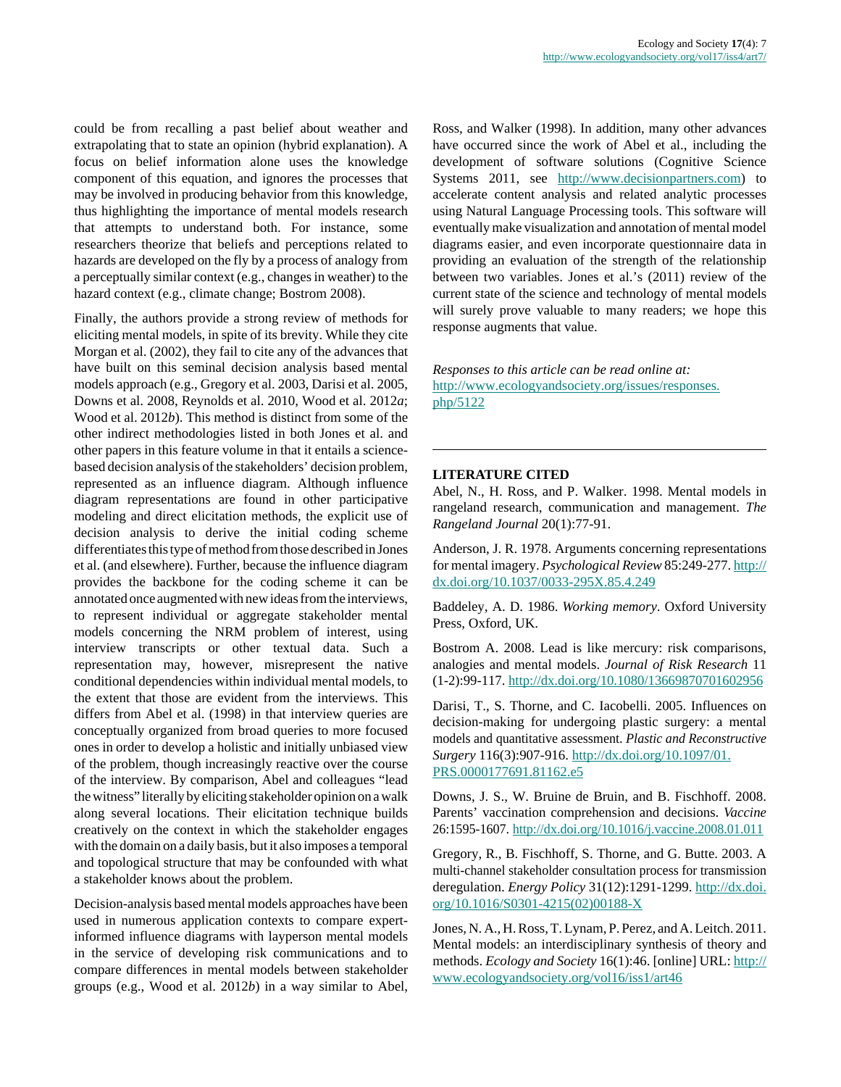could be from recalling a past belief about weather and extrapolating that to state an opinion (hybrid explanation). A focus on belief information alone uses the knowledge component of this equation, and ignores the processes that may be involved in producing behavior from this knowledge, thus highlighting the importance of mental models research that attempts to understand both. For instance, some researchers theorize that beliefs and perceptions related to hazards are developed on the fly by a process of analogy from a perceptually similar context (e.g., changes in weather) to the hazard context (e.g., climate change; Bostrom 2008).

Finally, the authors provide a strong review of methods for eliciting mental models, in spite of its brevity. While they cite Morgan et al. (2002), they fail to cite any of the advances that have built on this seminal decision analysis based mental models approach (e.g., Gregory et al. 2003, Darisi et al. 2005, Downs et al. 2008, Reynolds et al. 2010, Wood et al. 2012*a*; Wood et al. 2012*b*). This method is distinct from some of the other indirect methodologies listed in both Jones et al. and other papers in this feature volume in that it entails a sciencebased decision analysis of the stakeholders' decision problem, represented as an influence diagram. Although influence diagram representations are found in other participative modeling and direct elicitation methods, the explicit use of decision analysis to derive the initial coding scheme differentiates this type of method from those described in Jones et al. (and elsewhere). Further, because the influence diagram provides the backbone for the coding scheme it can be annotated once augmented with new ideas from the interviews, to represent individual or aggregate stakeholder mental models concerning the NRM problem of interest, using interview transcripts or other textual data. Such a representation may, however, misrepresent the native conditional dependencies within individual mental models, to the extent that those are evident from the interviews. This differs from Abel et al. (1998) in that interview queries are conceptually organized from broad queries to more focused ones in order to develop a holistic and initially unbiased view of the problem, though increasingly reactive over the course of the interview. By comparison, Abel and colleagues "lead the witness" literally by eliciting stakeholder opinion on a walk along several locations. Their elicitation technique builds creatively on the context in which the stakeholder engages with the domain on a daily basis, but it also imposes a temporal and topological structure that may be confounded with what a stakeholder knows about the problem.

Decision-analysis based mental models approaches have been used in numerous application contexts to compare expertinformed influence diagrams with layperson mental models in the service of developing risk communications and to compare differences in mental models between stakeholder groups (e.g., Wood et al. 2012*b*) in a way similar to Abel, Ross, and Walker (1998). In addition, many other advances have occurred since the work of Abel et al., including the development of software solutions (Cognitive Science Systems 2011, see <http://www.decisionpartners.com>) to accelerate content analysis and related analytic processes using Natural Language Processing tools. This software will eventually make visualization and annotation of mental model diagrams easier, and even incorporate questionnaire data in providing an evaluation of the strength of the relationship between two variables. Jones et al.'s (2011) review of the current state of the science and technology of mental models will surely prove valuable to many readers; we hope this response augments that value.

*Responses to this article can be read online at:* [http://www.ecologyandsociety.org/issues/responses.](http://www.ecologyandsociety.org/issues/responses.php/5122) [php/5122](http://www.ecologyandsociety.org/issues/responses.php/5122)

## **LITERATURE CITED**

Abel, N., H. Ross, and P. Walker. 1998. Mental models in rangeland research, communication and management. *The Rangeland Journal* 20(1):77-91.

Anderson, J. R. 1978. Arguments concerning representations for mental imagery. *Psychological Review* 85:249-277. [http://](http://dx.doi.org/10.1037/0033-295X.85.4.249) [dx.doi.org/10.1037/0033-295X.85.4.249](http://dx.doi.org/10.1037/0033-295X.85.4.249)

Baddeley, A. D. 1986. *Working memory*. Oxford University Press, Oxford, UK.

Bostrom A. 2008. Lead is like mercury: risk comparisons, analogies and mental models. *Journal of Risk Research* 11 (1-2):99-117.<http://dx.doi.org/10.1080/13669870701602956>

Darisi, T., S. Thorne, and C. Iacobelli. 2005. Influences on decision-making for undergoing plastic surgery: a mental models and quantitative assessment. *Plastic and Reconstructive Surgery* 116(3):907-916. [http://dx.doi.org/10.1097/01.](http://dx.doi.org/10.1097/01.PRS.0000177691.81162.e5) [PRS.0000177691.81162.e5](http://dx.doi.org/10.1097/01.PRS.0000177691.81162.e5)

Downs, J. S., W. Bruine de Bruin, and B. Fischhoff. 2008. Parents' vaccination comprehension and decisions. *Vaccine* 26:1595-1607.<http://dx.doi.org/10.1016/j.vaccine.2008.01.011>

Gregory, R., B. Fischhoff, S. Thorne, and G. Butte. 2003. A multi-channel stakeholder consultation process for transmission deregulation. *Energy Policy* 31(12):1291-1299. [http://dx.doi.](http://dx.doi.org/10.1016/S0301-4215(02)00188-X) [org/10.1016/S0301-4215\(02\)00188-X](http://dx.doi.org/10.1016/S0301-4215(02)00188-X)

Jones, N. A., H. Ross, T. Lynam, P. Perez, and A. Leitch. 2011. Mental models: an interdisciplinary synthesis of theory and methods. *Ecology and Society* 16(1):46. [online] URL: [http://](http://www.ecologyandsociety.org/vol16/iss1/art46) [www.ecologyandsociety.org/vol16/iss1/art46](http://www.ecologyandsociety.org/vol16/iss1/art46)